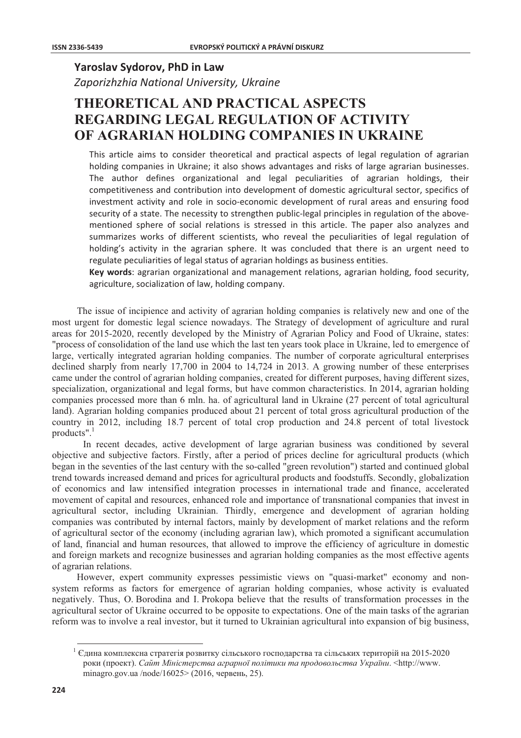## Yaroslav Sydorov, PhD in Law

Zaporizhzhia National University, Ukraine

## **THEORETICAL AND PRACTICAL ASPECTS REGARDING LEGAL REGULATION OF ACTIVITY** OF AGRARIAN HOLDING COMPANIES IN UKRAINE

This article aims to consider theoretical and practical aspects of legal regulation of agrarian holding companies in Ukraine; it also shows advantages and risks of large agrarian businesses. The author defines organizational and legal peculiarities of agrarian holdings, their competitiveness and contribution into development of domestic agricultural sector, specifics of investment activity and role in socio-economic development of rural areas and ensuring food security of a state. The necessity to strengthen public-legal principles in regulation of the abovementioned sphere of social relations is stressed in this article. The paper also analyzes and summarizes works of different scientists, who reveal the peculiarities of legal regulation of holding's activity in the agrarian sphere. It was concluded that there is an urgent need to regulate peculiarities of legal status of agrarian holdings as business entities.

Key words: agrarian organizational and management relations, agrarian holding, food security, agriculture, socialization of law, holding company.

The issue of incipience and activity of agrarian holding companies is relatively new and one of the most urgent for domestic legal science nowadays. The Strategy of development of agriculture and rural areas for 2015-2020, recently developed by the Ministry of Agrarian Policy and Food of Ukraine, states: "process of consolidation of the land use which the last ten years took place in Ukraine, led to emergence of large, vertically integrated agrarian holding companies. The number of corporate agricultural enterprises declined sharply from nearly 17,700 in 2004 to 14,724 in 2013. A growing number of these enterprises came under the control of agrarian holding companies, created for different purposes, having different sizes, specialization, organizational and legal forms, but have common characteristics. In 2014, agrarian holding companies processed more than 6 mln. ha. of agricultural land in Ukraine (27 percent of total agricultural land). Agrarian holding companies produced about 21 percent of total gross agricultural production of the country in 2012, including 18.7 percent of total crop production and 24.8 percent of total livestock products". $1$ 

In recent decades, active development of large agrarian business was conditioned by several objective and subjective factors. Firstly, after a period of prices decline for agricultural products (which began in the seventies of the last century with the so-called "green revolution") started and continued global trend towards increased demand and prices for agricultural products and foodstuffs. Secondly, globalization of economics and law intensified integration processes in international trade and finance, accelerated movement of capital and resources, enhanced role and importance of transnational companies that invest in agricultural sector, including Ukrainian. Thirdly, emergence and development of agrarian holding companies was contributed by internal factors, mainly by development of market relations and the reform of agricultural sector of the economy (including agrarian law), which promoted a significant accumulation of land, financial and human resources, that allowed to improve the efficiency of agriculture in domestic and foreign markets and recognize businesses and agrarian holding companies as the most effective agents of agrarian relations.

However, expert community expresses pessimistic views on "quasi-market" economy and nonsystem reforms as factors for emergence of agrarian holding companies, whose activity is evaluated negatively. Thus, O. Borodina and I. Prokopa believe that the results of transformation processes in the agricultural sector of Ukraine occurred to be opposite to expectations. One of the main tasks of the agrarian reform was to involve a real investor, but it turned to Ukrainian agricultural into expansion of big business,

 $1$  Єдина комплексна стратегія розвитку сільського господарства та сільських територій на 2015-2020 роки (проект). Сайт Міністерства аграрної політики та продовольства України. <http://www. minagro.gov.ua/node/16025> (2016, червень, 25).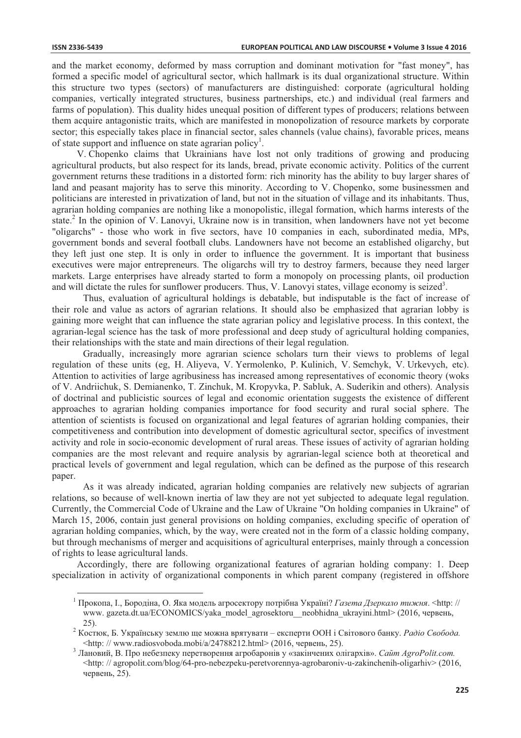and the market economy, deformed by mass corruption and dominant motivation for "fast money", has formed a specific model of agricultural sector, which hallmark is its dual organizational structure. Within this structure two types (sectors) of manufacturers are distinguished: corporate (agricultural holding companies, vertically integrated structures, business partnerships, etc.) and individual (real farmers and farms of population). This duality hides unequal position of different types of producers; relations between them acquire antagonistic traits, which are manifested in monopolization of resource markets by corporate sector; this especially takes place in financial sector, sales channels (value chains), favorable prices, means of state support and influence on state agrarian policy<sup>1</sup>.

V. Chopenko claims that Ukrainians have lost not only traditions of growing and producing agricultural products, but also respect for its lands, bread, private economic activity. Politics of the current government returns these traditions in a distorted form: rich minority has the ability to buy larger shares of land and peasant majority has to serve this minority. According to V. Chopenko, some businessmen and politicians are interested in privatization of land, but not in the situation of village and its inhabitants. Thus, agrarian holding companies are nothing like a monopolistic, illegal formation, which harms interests of the state.<sup>2</sup> In the opinion of V. Lanovyi, Ukraine now is in transition, when landowners have not yet become "oligarchs" - those who work in five sectors, have 10 companies in each, subordinated media, MPs, government bonds and several football clubs. Landowners have not become an established oligarchy, but they left just one step. It is only in order to influence the government. It is important that business executives were major entrepreneurs. The oligarchs will try to destroy farmers, because they need larger markets. Large enterprises have already started to form a monopoly on processing plants, oil production and will dictate the rules for sunflower producers. Thus, V. Lanovyi states, village economy is seized<sup>3</sup>.

Thus, evaluation of agricultural holdings is debatable, but indisputable is the fact of increase of their role and value as actors of agrarian relations. It should also be emphasized that agrarian lobby is gaining more weight that can influence the state agrarian policy and legislative process. In this context, the agrarian-legal science has the task of more professional and deep study of agricultural holding companies, their relationships with the state and main directions of their legal regulation.

Gradually, increasingly more agrarian science scholars turn their views to problems of legal regulation of these units (eg, H. Aliyeva, V. Yermolenko, P. Kulinich, V. Semchyk, V. Urkevych, etc). Attention to activities of large agribusiness has increased among representatives of economic theory (woks of V. Andriichuk, S. Demianenko, T. Zinchuk, M. Kropyvka, P. Sabluk, A. Suderikin and others). Analysis of doctrinal and publicistic sources of legal and economic orientation suggests the existence of different approaches to agrarian holding companies importance for food security and rural social sphere. The attention of scientists is focused on organizational and legal features of agrarian holding companies, their competitiveness and contribution into development of domestic agricultural sector, specifics of investment activity and role in socio-economic development of rural areas. These issues of activity of agrarian holding companies are the most relevant and require analysis by agrarian-legal science both at theoretical and practical levels of government and legal regulation, which can be defined as the purpose of this research paper.

As it was already indicated, agrarian holding companies are relatively new subjects of agrarian relations, so because of well-known inertia of law they are not yet subjected to adequate legal regulation. Currently, the Commercial Code of Ukraine and the Law of Ukraine "On holding companies in Ukraine" of March 15, 2006, contain just general provisions on holding companies, excluding specific of operation of agrarian holding companies, which, by the way, were created not in the form of a classic holding company, but through mechanisms of merger and acquisitions of agricultural enterprises, mainly through a concession of rights to lease agricultural lands.

Accordingly, there are following organizational features of agrarian holding company: 1. Deep specialization in activity of organizational components in which parent company (registered in offshore

<sup>&</sup>lt;sup>1</sup> Прокопа, I., Бородіна, О. Яка модель агросектору потрібна Україні? Газета Дзеркало тижня. <http:// www.gazeta.dt.ua/ECONOMICS/yaka model agrosektoru neobhidna ukrayini.html> (2016, червень,  $25$ ).

<sup>&</sup>lt;sup>2</sup> Костюк, Б. Українську землю ще можна врятувати - експерти ООН і Світового банку. Радіо Свобода. <http://www.radiosvoboda.mobi/a/24788212.html>(2016, червень, 25).

<sup>&</sup>lt;sup>3</sup> Лановий, В. Про небезпеку перетворення агробаронів у «закінчених олігархів». Сайт AgroPolit.com. <http://agropolit.com/blog/64-pro-nebezpeku-peretvorennya-agrobaroniv-u-zakinchenih-oligarhiv> (2016, червень, 25).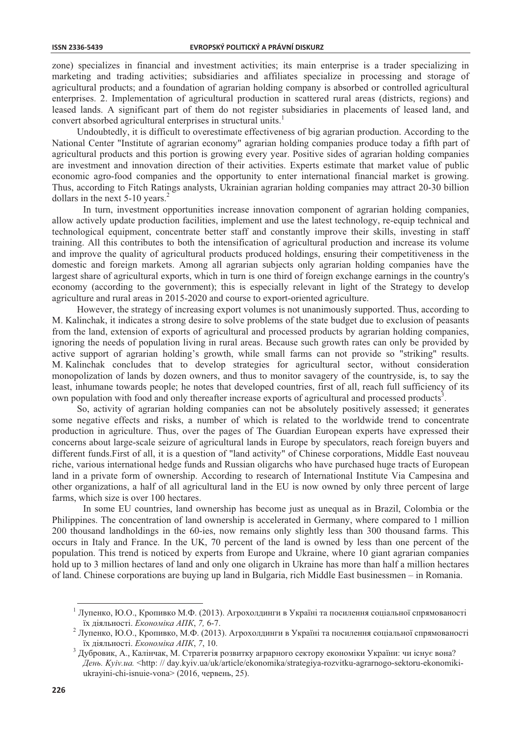zone) specializes in financial and investment activities; its main enterprise is a trader specializing in marketing and trading activities; subsidiaries and affiliates specialize in processing and storage of agricultural products; and a foundation of agrarian holding company is absorbed or controlled agricultural enterprises. 2. Implementation of agricultural production in scattered rural areas (districts, regions) and leased lands. A significant part of them do not register subsidiaries in placements of leased land, and convert absorbed agricultural enterprises in structural units.<sup>1</sup>

Undoubtedly, it is difficult to overestimate effectiveness of big agrarian production. According to the National Center "Institute of agrarian economy" agrarian holding companies produce today a fifth part of agricultural products and this portion is growing every year. Positive sides of agrarian holding companies are investment and innovation direction of their activities. Experts estimate that market value of public economic agro-food companies and the opportunity to enter international financial market is growing. Thus, according to Fitch Ratings analysts, Ukrainian agrarian holding companies may attract 20-30 billion dollars in the next  $5-10$  years.<sup>2</sup>

In turn, investment opportunities increase innovation component of agrarian holding companies, allow actively update production facilities, implement and use the latest technology, re-equip technical and technological equipment, concentrate better staff and constantly improve their skills, investing in staff training. All this contributes to both the intensification of agricultural production and increase its volume and improve the quality of agricultural products produced holdings, ensuring their competitiveness in the domestic and foreign markets. Among all agrarian subjects only agrarian holding companies have the largest share of agricultural exports, which in turn is one third of foreign exchange earnings in the country's economy (according to the government); this is especially relevant in light of the Strategy to develop agriculture and rural areas in 2015-2020 and course to export-oriented agriculture.

However, the strategy of increasing export volumes is not unanimously supported. Thus, according to M. Kalinchak, it indicates a strong desire to solve problems of the state budget due to exclusion of peasants from the land, extension of exports of agricultural and processed products by agrarian holding companies, ignoring the needs of population living in rural areas. Because such growth rates can only be provided by active support of agrarian holding's growth, while small farms can not provide so "striking" results. M. Kalinchak concludes that to develop strategies for agricultural sector, without consideration monopolization of lands by dozen owners, and thus to monitor savagery of the countryside, is, to say the least, inhumane towards people; he notes that developed countries, first of all, reach full sufficiency of its own population with food and only thereafter increase exports of agricultural and processed products<sup>3</sup>.

So, activity of agrarian holding companies can not be absolutely positively assessed; it generates some negative effects and risks, a number of which is related to the worldwide trend to concentrate production in agriculture. Thus, over the pages of The Guardian European experts have expressed their concerns about large-scale seizure of agricultural lands in Europe by speculators, reach foreign buyers and different funds. First of all, it is a question of "land activity" of Chinese corporations, Middle East nouveau riche, various international hedge funds and Russian oligarchs who have purchased huge tracts of European land in a private form of ownership. According to research of International Institute Via Campesina and other organizations, a half of all agricultural land in the EU is now owned by only three percent of large farms, which size is over 100 hectares.

In some EU countries, land ownership has become just as unequal as in Brazil, Colombia or the Philippines. The concentration of land ownership is accelerated in Germany, where compared to 1 million 200 thousand landholdings in the 60-ies, now remains only slightly less than 300 thousand farms. This occurs in Italy and France. In the UK, 70 percent of the land is owned by less than one percent of the population. This trend is noticed by experts from Europe and Ukraine, where 10 giant agrarian companies hold up to 3 million hectares of land and only one oligarch in Ukraine has more than half a million hectares of land. Chinese corporations are buying up land in Bulgaria, rich Middle East businessmen – in Romania.

<sup>&</sup>lt;sup>1</sup> Лупенко, Ю.О., Кропивко М.Ф. (2013). Агрохолдинги в Україні та посилення соціальної спрямованості їх ліяльності. Економіка АПК, 7, 6-7.

<sup>&</sup>lt;sup>2</sup> Лупенко, Ю.О., Кропивко, М.Ф. (2013). Агрохолдинги в Україні та посилення соціальної спрямованості їх діяльності. Економіка АПК, 7, 10.

<sup>3</sup> Дубровик, А., Калінчак, М. Стратегія розвитку аграрного сектору економіки України: чи існує вона? День. Kyiv.ua. <http://day.kyiv.ua/uk/article/ekonomika/strategiya-rozvitku-agrarnogo-sektoru-ekonomikiukrayini-chi-isnuie-vona> (2016, червень, 25).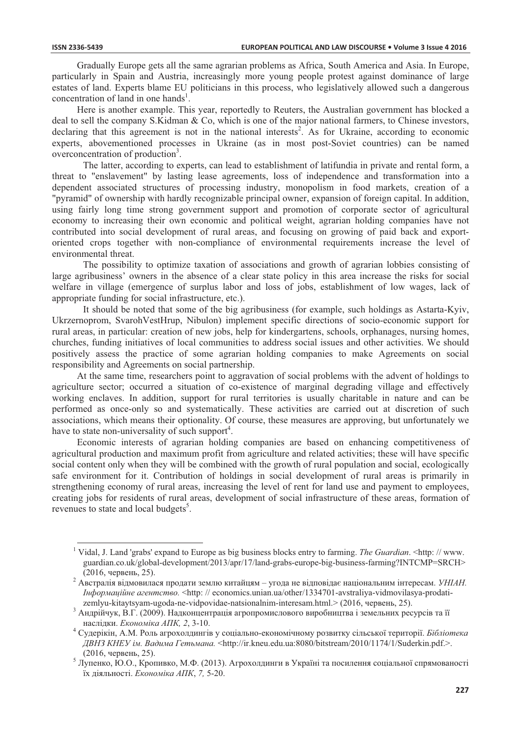Gradually Europe gets all the same agrarian problems as Africa, South America and Asia. In Europe, particularly in Spain and Austria, increasingly more young people protest against dominance of large estates of land. Experts blame EU politicians in this process, who legislatively allowed such a dangerous concentration of land in one hands<sup>1</sup>.

Here is another example. This year, reportedly to Reuters, the Australian government has blocked a deal to sell the company S.Kidman & Co, which is one of the major national farmers, to Chinese investors, declaring that this agreement is not in the national interests<sup>2</sup>. As for Ukraine, according to economic experts, abovementioned processes in Ukraine (as in most post-Soviet countries) can be named overconcentration of production<sup>3</sup>.

The latter, according to experts, can lead to establishment of latifundia in private and rental form, a threat to "enslavement" by lasting lease agreements, loss of independence and transformation into a dependent associated structures of processing industry, monopolism in food markets, creation of a "pyramid" of ownership with hardly recognizable principal owner, expansion of foreign capital. In addition, using fairly long time strong government support and promotion of corporate sector of agricultural economy to increasing their own economic and political weight, agrarian holding companies have not contributed into social development of rural areas, and focusing on growing of paid back and exportoriented crops together with non-compliance of environmental requirements increase the level of environmental threat.

The possibility to optimize taxation of associations and growth of agrarian lobbies consisting of large agribusiness' owners in the absence of a clear state policy in this area increase the risks for social welfare in village (emergence of surplus labor and loss of jobs, establishment of low wages, lack of appropriate funding for social infrastructure, etc.).

It should be noted that some of the big agribusiness (for example, such holdings as Astarta-Kyiv, Ukrzernoprom, SvarohVestHrup, Nibulon) implement specific directions of socio-economic support for rural areas, in particular: creation of new jobs, help for kindergartens, schools, orphanages, nursing homes, churches, funding initiatives of local communities to address social issues and other activities. We should positively assess the practice of some agrarian holding companies to make Agreements on social responsibility and Agreements on social partnership.

At the same time, researchers point to aggravation of social problems with the advent of holdings to agriculture sector; occurred a situation of co-existence of marginal degrading village and effectively working enclaves. In addition, support for rural territories is usually charitable in nature and can be performed as once-only so and systematically. These activities are carried out at discretion of such associations, which means their optionality. Of course, these measures are approving, but unfortunately we have to state non-universality of such support<sup>4</sup>.

Economic interests of agrarian holding companies are based on enhancing competitiveness of agricultural production and maximum profit from agriculture and related activities; these will have specific social content only when they will be combined with the growth of rural population and social, ecologically safe environment for it. Contribution of holdings in social development of rural areas is primarily in strengthening economy of rural areas, increasing the level of rent for land use and payment to employees. creating jobs for residents of rural areas, development of social infrastructure of these areas, formation of revenues to state and local budgets<sup>5</sup>.

<sup>&</sup>lt;sup>1</sup> Vidal, J. Land 'grabs' expand to Europe as big business blocks entry to farming. The Guardian, <http://www. euardian.co.uk/global-development/2013/apr/17/land-grabs-europe-big-business-farming?INTCMP=SRCH> (2016, червень, 25).

<sup>2</sup> Австралія відмовилася продати землю китайцям – угода не відповідає національним інтересам. УНІАН. Indopmautique azenmemeo. <http://economics.unian.ua/other/1334701-avstraliva-vidmovilasya-prodatizemlyu-kitaytsyam-ugoda-ne-vidpovidae-natsionalnim-interesam.html.> (2016, червень, 25).

Андрійчук, В.Г. (2009). Надконцентрація агропромислового виробництва і земельних ресурсів та її наслідки. Економіка АПК, 2, 3-10.

<sup>&</sup>lt;sup>4</sup> Судерікін, А.М. Роль агрохолдингів у соціально-економічному розвитку сільської території. Бібліотека ДВНЗ КНЕУ ім. Вадима Гетьмана. < http://ir.kneu.edu.ua:8080/bitstream/2010/1174/1/Suderkin.pdf.>. (2016, червень, 25).

 $^5$ Лупенко, Ю.О., Кропивко, М.Ф. (2013). Агрохолдинги в Україні та посилення соціальної спрямованості їх діяльності. Економіка АПК, 7, 5-20.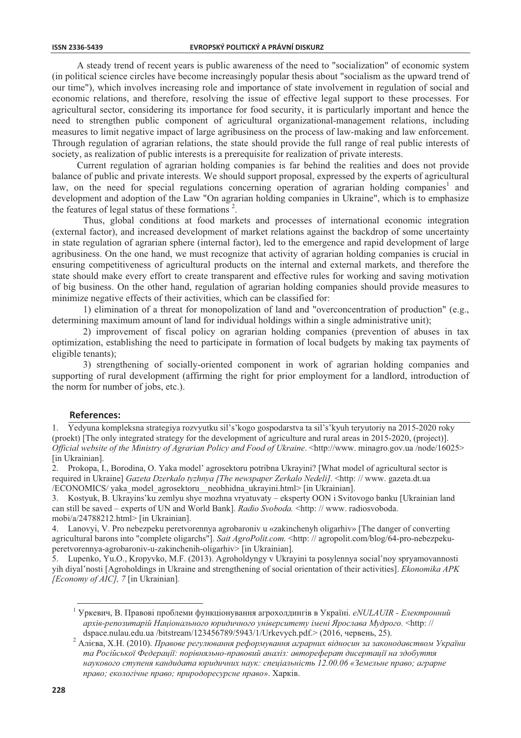A steady trend of recent years is public awareness of the need to "socialization" of economic system (in political science circles have become increasingly popular thesis about "socialism as the upward trend of our time"), which involves increasing role and importance of state involvement in regulation of social and economic relations, and therefore, resolving the issue of effective legal support to these processes. For agricultural sector, considering its importance for food security, it is particularly important and hence the need to strengthen public component of agricultural organizational-management relations, including measures to limit negative impact of large agribusiness on the process of law-making and law enforcement. Through regulation of agrarian relations, the state should provide the full range of real public interests of society, as realization of public interests is a prerequisite for realization of private interests.

Current regulation of agrarian holding companies is far behind the realities and does not provide balance of public and private interests. We should support proposal, expressed by the experts of agricultural law, on the need for special regulations concerning operation of agrarian holding companies<sup>1</sup> and development and adoption of the Law "On agrarian holding companies in Ukraine", which is to emphasize the features of legal status of these formations  $2$ .

Thus, global conditions at food markets and processes of international economic integration (external factor), and increased development of market relations against the backdrop of some uncertainty in state regulation of agrarian sphere (internal factor), led to the emergence and rapid development of large agribusiness. On the one hand, we must recognize that activity of agrarian holding companies is crucial in ensuring competitiveness of agricultural products on the internal and external markets, and therefore the state should make every effort to create transparent and effective rules for working and saying motivation of big business. On the other hand, regulation of agrarian holding companies should provide measures to minimize negative effects of their activities, which can be classified for:

1) elimination of a threat for monopolization of land and "overconcentration of production" (e.g., determining maximum amount of land for individual holdings within a single administrative unit);

2) improvement of fiscal policy on agrarian holding companies (prevention of abuses in tax optimization, establishing the need to participate in formation of local budgets by making tax payments of eligible tenants):

3) strengthening of socially-oriented component in work of agrarian holding companies and supporting of rural development (affirming the right for prior employment for a landlord, introduction of the norm for number of jobs, etc.).

## **References:**

Yedyuna kompleksna strategiya rozvyutku sil's'kogo gospodarstva ta sil's' kyuh teryutoriy na 2015-2020 roky (proekt) [The only integrated strategy for the development of agriculture and rural areas in 2015-2020, (project)]. Official website of the Ministry of Agrarian Policy and Food of Ukraine. <http://www.minagro.gov.ua/node/16025> [in Ukrainian].

2. Prokopa, I., Borodina, O. Yaka model' agrosektoru potribna Ukrayini? [What model of agricultural sector is required in Ukraine] Gazeta Dzerkalo tyzhnya [The newspaper Zerkalo Nedeli]. <http: // www. gazeta.dt.ua /ECONOMICS/ yaka\_model\_agrosektoru\_neobhidna\_ukrayini.html> [in Ukrainian].

 $\mathcal{Z}$ Kostyuk, B. Ukrayins'ku zemlyu shye mozhna vryatuvaty – eksperty OON i Svitovogo banku [Ukrainian land can still be saved – experts of UN and World Bank]. Radio Svoboda. <http://www.radiosvoboda. mobi/a/24788212.html> [in Ukrainian].

4. Lanovyi, V. Pro nebezpeku peretyorennya agrobaroniy u «zakinchenyh oligarhiy» [The danger of converting agricultural barons into "complete oligarchs"]. Sait AgroPolit.com. <http://agropolit.com/blog/64-pro-nebezpekuperetvorennya-agrobaroniv-u-zakinchenih-oligarhiv> [in Ukrainian].

5. Lupenko, Yu.O., Kropyvko, M.F. (2013). Agroholdyngy v Ukrayini ta posylennya social'noy spryamovannosti yih diyal'nosti [Agroholdings in Ukraine and strengthening of social orientation of their activities]. Ekonomika APK [Economy of AIC], 7 [in Ukrainian].

<sup>&</sup>lt;sup>1</sup> Уркевич, В. Правові проблеми функціонування агрохолдингів в Україні. *eNULAUIR - Електронний* архів-репозитарій Національного юридичного університету імені Ярослава Мудрого. <http:// dspace.nulau.edu.ua/bitstream/123456789/5943/1/Urkevych.pdf.> (2016, червень, 25).

 $\overline{\mathbf{c}}$ Алієва, Х.Н. (2010). Правове регулювання реформування аграрних відносин за законодавством України та Російської Федерації: порівняльно-правовий аналіз: автореферат дисертації на здобуття наукового ступеня кандидата юридичних наук: спеціальність 12.00.06 «Земельне право; аграрне право; екологічне право; природоресурсне право». Харків.